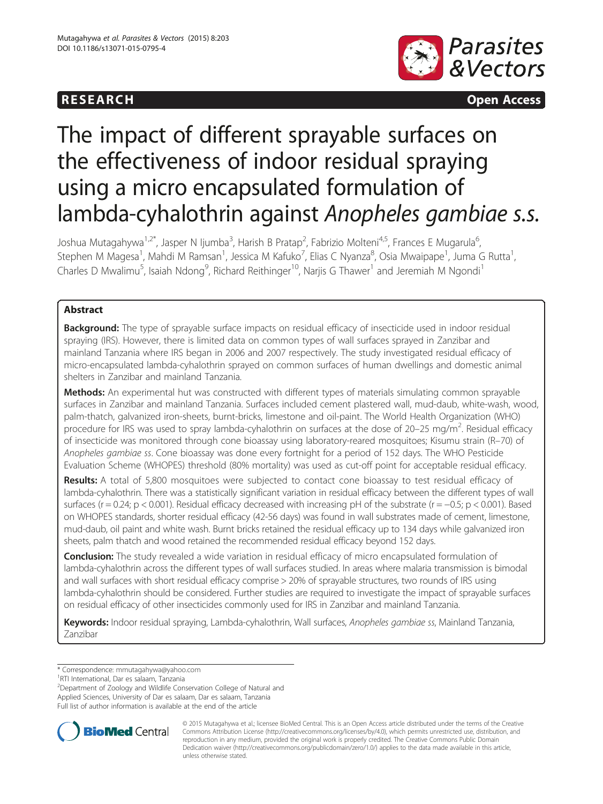## **RESEARCH RESEARCH CONSUMING ACCESS**



# The impact of different sprayable surfaces on the effectiveness of indoor residual spraying using a micro encapsulated formulation of lambda-cyhalothrin against Anopheles gambiae s.s.

Joshua Mutagahywa<sup>1,2\*</sup>, Jasper N Ijumba<sup>3</sup>, Harish B Pratap<sup>2</sup>, Fabrizio Molteni<sup>4,5</sup>, Frances E Mugarula<sup>6</sup> , Stephen M Magesa<sup>1</sup>, Mahdi M Ramsan<sup>1</sup>, Jessica M Kafuko<sup>7</sup>, Elias C Nyanza<sup>8</sup>, Osia Mwaipape<sup>1</sup>, Juma G Rutta<sup>1</sup> , Charles D Mwalimu<sup>5</sup>, Isaiah Ndong<sup>9</sup>, Richard Reithinger<sup>10</sup>, Narjis G Thawer<sup>1</sup> and Jeremiah M Ngondi<sup>1</sup>

## Abstract

**Background:** The type of sprayable surface impacts on residual efficacy of insecticide used in indoor residual spraying (IRS). However, there is limited data on common types of wall surfaces sprayed in Zanzibar and mainland Tanzania where IRS began in 2006 and 2007 respectively. The study investigated residual efficacy of micro-encapsulated lambda-cyhalothrin sprayed on common surfaces of human dwellings and domestic animal shelters in Zanzibar and mainland Tanzania.

Methods: An experimental hut was constructed with different types of materials simulating common sprayable surfaces in Zanzibar and mainland Tanzania. Surfaces included cement plastered wall, mud-daub, white-wash, wood, palm-thatch, galvanized iron-sheets, burnt-bricks, limestone and oil-paint. The World Health Organization (WHO) .<br>procedure for IRS was used to spray lambda-cyhalothrin on surfaces at the dose of 20–25 mg/m<sup>2</sup>. Residual efficacy of insecticide was monitored through cone bioassay using laboratory-reared mosquitoes; Kisumu strain (R–70) of Anopheles gambiae ss. Cone bioassay was done every fortnight for a period of 152 days. The WHO Pesticide Evaluation Scheme (WHOPES) threshold (80% mortality) was used as cut-off point for acceptable residual efficacy.

Results: A total of 5,800 mosquitoes were subjected to contact cone bioassay to test residual efficacy of lambda-cyhalothrin. There was a statistically significant variation in residual efficacy between the different types of wall surfaces (r = 0.24; p < 0.001). Residual efficacy decreased with increasing pH of the substrate (r = −0.5; p < 0.001). Based on WHOPES standards, shorter residual efficacy (42-56 days) was found in wall substrates made of cement, limestone, mud-daub, oil paint and white wash. Burnt bricks retained the residual efficacy up to 134 days while galvanized iron sheets, palm thatch and wood retained the recommended residual efficacy beyond 152 days.

**Conclusion:** The study revealed a wide variation in residual efficacy of micro encapsulated formulation of lambda-cyhalothrin across the different types of wall surfaces studied. In areas where malaria transmission is bimodal and wall surfaces with short residual efficacy comprise > 20% of sprayable structures, two rounds of IRS using lambda-cyhalothrin should be considered. Further studies are required to investigate the impact of sprayable surfaces on residual efficacy of other insecticides commonly used for IRS in Zanzibar and mainland Tanzania.

Keywords: Indoor residual spraying, Lambda-cyhalothrin, Wall surfaces, Anopheles gambiae ss, Mainland Tanzania, Zanzibar

\* Correspondence: [mmutagahywa@yahoo.com](mailto:mmutagahywa@yahoo.com) <sup>1</sup>

RTI International, Dar es salaam, Tanzania

<sup>2</sup>Department of Zoology and Wildlife Conservation College of Natural and Applied Sciences, University of Dar es salaam, Dar es salaam, Tanzania Full list of author information is available at the end of the article



© 2015 Mutagahywa et al.; licensee BioMed Central. This is an Open Access article distributed under the terms of the Creative Commons Attribution License [\(http://creativecommons.org/licenses/by/4.0\)](http://creativecommons.org/licenses/by/4.0), which permits unrestricted use, distribution, and reproduction in any medium, provided the original work is properly credited. The Creative Commons Public Domain Dedication waiver [\(http://creativecommons.org/publicdomain/zero/1.0/](http://creativecommons.org/publicdomain/zero/1.0/)) applies to the data made available in this article, unless otherwise stated.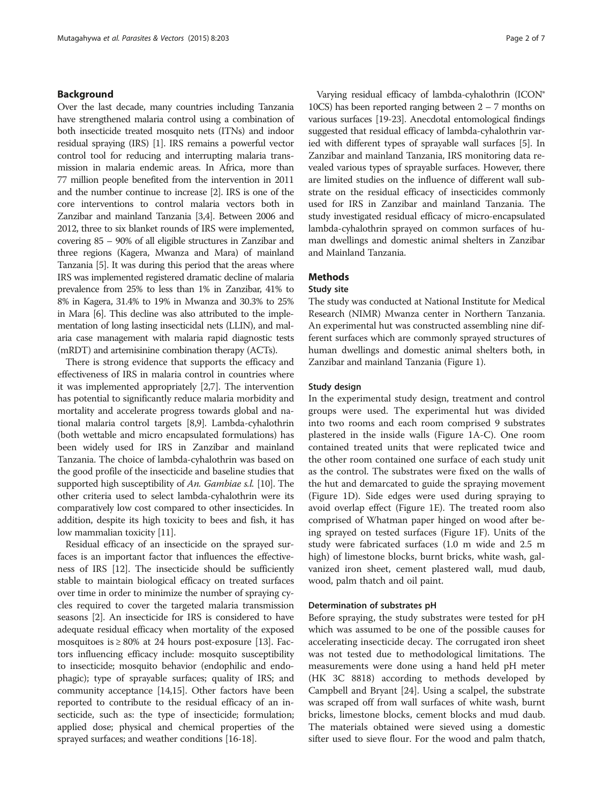#### Background

Over the last decade, many countries including Tanzania have strengthened malaria control using a combination of both insecticide treated mosquito nets (ITNs) and indoor residual spraying (IRS) [\[1\]](#page-6-0). IRS remains a powerful vector control tool for reducing and interrupting malaria transmission in malaria endemic areas. In Africa, more than 77 million people benefited from the intervention in 2011 and the number continue to increase [[2](#page-6-0)]. IRS is one of the core interventions to control malaria vectors both in Zanzibar and mainland Tanzania [\[3,4](#page-6-0)]. Between 2006 and 2012, three to six blanket rounds of IRS were implemented, covering 85 – 90% of all eligible structures in Zanzibar and three regions (Kagera, Mwanza and Mara) of mainland Tanzania [[5](#page-6-0)]. It was during this period that the areas where IRS was implemented registered dramatic decline of malaria prevalence from 25% to less than 1% in Zanzibar, 41% to 8% in Kagera, 31.4% to 19% in Mwanza and 30.3% to 25% in Mara [\[6\]](#page-6-0). This decline was also attributed to the implementation of long lasting insecticidal nets (LLIN), and malaria case management with malaria rapid diagnostic tests (mRDT) and artemisinine combination therapy (ACTs).

There is strong evidence that supports the efficacy and effectiveness of IRS in malaria control in countries where it was implemented appropriately [\[2,7\]](#page-6-0). The intervention has potential to significantly reduce malaria morbidity and mortality and accelerate progress towards global and national malaria control targets [\[8,9](#page-6-0)]. Lambda-cyhalothrin (both wettable and micro encapsulated formulations) has been widely used for IRS in Zanzibar and mainland Tanzania. The choice of lambda-cyhalothrin was based on the good profile of the insecticide and baseline studies that supported high susceptibility of An. Gambiae s.l. [\[10\]](#page-6-0). The other criteria used to select lambda-cyhalothrin were its comparatively low cost compared to other insecticides. In addition, despite its high toxicity to bees and fish, it has low mammalian toxicity [[11](#page-6-0)].

Residual efficacy of an insecticide on the sprayed surfaces is an important factor that influences the effectiveness of IRS [[12](#page-6-0)]. The insecticide should be sufficiently stable to maintain biological efficacy on treated surfaces over time in order to minimize the number of spraying cycles required to cover the targeted malaria transmission seasons [[2\]](#page-6-0). An insecticide for IRS is considered to have adequate residual efficacy when mortality of the exposed mosquitoes is  $\geq 80\%$  at 24 hours post-exposure [\[13\]](#page-6-0). Factors influencing efficacy include: mosquito susceptibility to insecticide; mosquito behavior (endophilic and endophagic); type of sprayable surfaces; quality of IRS; and community acceptance [\[14,15\]](#page-6-0). Other factors have been reported to contribute to the residual efficacy of an insecticide, such as: the type of insecticide; formulation; applied dose; physical and chemical properties of the sprayed surfaces; and weather conditions [[16](#page-6-0)-[18](#page-6-0)].

Varying residual efficacy of lambda-cyhalothrin (ICON® 10CS) has been reported ranging between 2 – 7 months on various surfaces [\[19-23](#page-6-0)]. Anecdotal entomological findings suggested that residual efficacy of lambda-cyhalothrin varied with different types of sprayable wall surfaces [\[5\]](#page-6-0). In Zanzibar and mainland Tanzania, IRS monitoring data revealed various types of sprayable surfaces. However, there are limited studies on the influence of different wall substrate on the residual efficacy of insecticides commonly used for IRS in Zanzibar and mainland Tanzania. The study investigated residual efficacy of micro-encapsulated lambda-cyhalothrin sprayed on common surfaces of human dwellings and domestic animal shelters in Zanzibar and Mainland Tanzania.

#### **Methods**

#### Study site

The study was conducted at National Institute for Medical Research (NIMR) Mwanza center in Northern Tanzania. An experimental hut was constructed assembling nine different surfaces which are commonly sprayed structures of human dwellings and domestic animal shelters both, in Zanzibar and mainland Tanzania (Figure [1\)](#page-2-0).

#### Study design

In the experimental study design, treatment and control groups were used. The experimental hut was divided into two rooms and each room comprised 9 substrates plastered in the inside walls (Figure [1](#page-2-0)A-C). One room contained treated units that were replicated twice and the other room contained one surface of each study unit as the control. The substrates were fixed on the walls of the hut and demarcated to guide the spraying movement (Figure [1D](#page-2-0)). Side edges were used during spraying to avoid overlap effect (Figure [1E](#page-2-0)). The treated room also comprised of Whatman paper hinged on wood after being sprayed on tested surfaces (Figure [1](#page-2-0)F). Units of the study were fabricated surfaces (1.0 m wide and 2.5 m high) of limestone blocks, burnt bricks, white wash, galvanized iron sheet, cement plastered wall, mud daub, wood, palm thatch and oil paint.

#### Determination of substrates pH

Before spraying, the study substrates were tested for pH which was assumed to be one of the possible causes for accelerating insecticide decay. The corrugated iron sheet was not tested due to methodological limitations. The measurements were done using a hand held pH meter (HK 3C 8818) according to methods developed by Campbell and Bryant [\[24\]](#page-6-0). Using a scalpel, the substrate was scraped off from wall surfaces of white wash, burnt bricks, limestone blocks, cement blocks and mud daub. The materials obtained were sieved using a domestic sifter used to sieve flour. For the wood and palm thatch,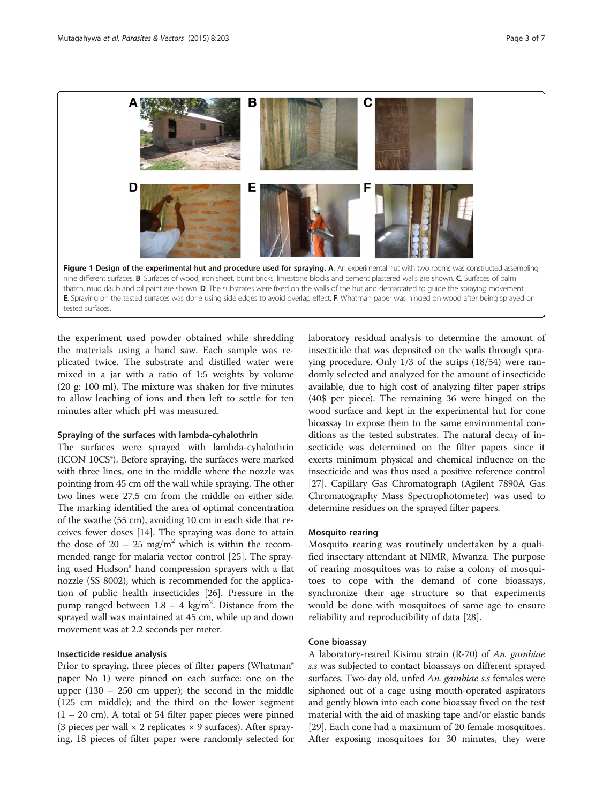<span id="page-2-0"></span>

the experiment used powder obtained while shredding the materials using a hand saw. Each sample was replicated twice. The substrate and distilled water were mixed in a jar with a ratio of 1:5 weights by volume (20 g: 100 ml). The mixture was shaken for five minutes to allow leaching of ions and then left to settle for ten minutes after which pH was measured.

## Spraying of the surfaces with lambda-cyhalothrin

The surfaces were sprayed with lambda-cyhalothrin (ICON 10CS®). Before spraying, the surfaces were marked with three lines, one in the middle where the nozzle was pointing from 45 cm off the wall while spraying. The other two lines were 27.5 cm from the middle on either side. The marking identified the area of optimal concentration of the swathe (55 cm), avoiding 10 cm in each side that receives fewer doses [\[14\]](#page-6-0). The spraying was done to attain the dose of  $20 - 25$  mg/m<sup>2</sup> which is within the recommended range for malaria vector control [[25](#page-6-0)]. The spraying used Hudson® hand compression sprayers with a flat nozzle (SS 8002), which is recommended for the application of public health insecticides [\[26\]](#page-6-0). Pressure in the pump ranged between  $1.8 - 4$  kg/m<sup>2</sup>. Distance from the sprayed wall was maintained at 45 cm, while up and down movement was at 2.2 seconds per meter.

### Insecticide residue analysis

Prior to spraying, three pieces of filter papers (Whatman® paper No 1) were pinned on each surface: one on the upper (130 – 250 cm upper); the second in the middle (125 cm middle); and the third on the lower segment  $(1 - 20 \text{ cm})$ . A total of 54 filter paper pieces were pinned (3 pieces per wall  $\times$  2 replicates  $\times$  9 surfaces). After spraying, 18 pieces of filter paper were randomly selected for laboratory residual analysis to determine the amount of insecticide that was deposited on the walls through spraying procedure. Only 1/3 of the strips (18/54) were randomly selected and analyzed for the amount of insecticide available, due to high cost of analyzing filter paper strips (40\$ per piece). The remaining 36 were hinged on the wood surface and kept in the experimental hut for cone bioassay to expose them to the same environmental conditions as the tested substrates. The natural decay of insecticide was determined on the filter papers since it exerts minimum physical and chemical influence on the insecticide and was thus used a positive reference control [[27](#page-6-0)]. Capillary Gas Chromatograph (Agilent 7890A Gas Chromatography Mass Spectrophotometer) was used to determine residues on the sprayed filter papers.

#### Mosquito rearing

Mosquito rearing was routinely undertaken by a qualified insectary attendant at NIMR, Mwanza. The purpose of rearing mosquitoes was to raise a colony of mosquitoes to cope with the demand of cone bioassays, synchronize their age structure so that experiments would be done with mosquitoes of same age to ensure reliability and reproducibility of data [[28](#page-6-0)].

#### Cone bioassay

A laboratory-reared Kisimu strain (R-70) of An. gambiae s.s was subjected to contact bioassays on different sprayed surfaces. Two-day old, unfed An. gambiae s.s females were siphoned out of a cage using mouth-operated aspirators and gently blown into each cone bioassay fixed on the test material with the aid of masking tape and/or elastic bands [[29](#page-6-0)]. Each cone had a maximum of 20 female mosquitoes. After exposing mosquitoes for 30 minutes, they were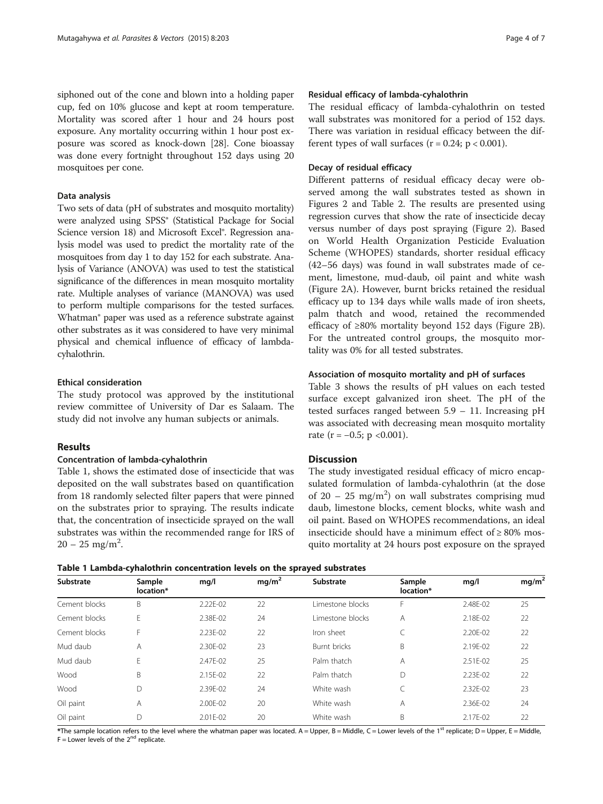siphoned out of the cone and blown into a holding paper cup, fed on 10% glucose and kept at room temperature. Mortality was scored after 1 hour and 24 hours post exposure. Any mortality occurring within 1 hour post exposure was scored as knock-down [\[28\]](#page-6-0). Cone bioassay was done every fortnight throughout 152 days using 20 mosquitoes per cone.

#### Data analysis

Two sets of data (pH of substrates and mosquito mortality) were analyzed using SPSS® (Statistical Package for Social Science version 18) and Microsoft Excel®. Regression analysis model was used to predict the mortality rate of the mosquitoes from day 1 to day 152 for each substrate. Analysis of Variance (ANOVA) was used to test the statistical significance of the differences in mean mosquito mortality rate. Multiple analyses of variance (MANOVA) was used to perform multiple comparisons for the tested surfaces. Whatman® paper was used as a reference substrate against other substrates as it was considered to have very minimal physical and chemical influence of efficacy of lambdacyhalothrin.

#### Ethical consideration

The study protocol was approved by the institutional review committee of University of Dar es Salaam. The study did not involve any human subjects or animals.

#### Results

#### Concentration of lambda-cyhalothrin

Table 1, shows the estimated dose of insecticide that was deposited on the wall substrates based on quantification from 18 randomly selected filter papers that were pinned on the substrates prior to spraying. The results indicate that, the concentration of insecticide sprayed on the wall substrates was within the recommended range for IRS of  $20 - 25$  mg/m<sup>2</sup>.

#### Residual efficacy of lambda-cyhalothrin

The residual efficacy of lambda-cyhalothrin on tested wall substrates was monitored for a period of 152 days. There was variation in residual efficacy between the different types of wall surfaces  $(r = 0.24; p < 0.001)$ .

#### Decay of residual efficacy

Different patterns of residual efficacy decay were observed among the wall substrates tested as shown in Figures [2](#page-4-0) and Table [2](#page-4-0). The results are presented using regression curves that show the rate of insecticide decay versus number of days post spraying (Figure [2\)](#page-4-0). Based on World Health Organization Pesticide Evaluation Scheme (WHOPES) standards, shorter residual efficacy (42–56 days) was found in wall substrates made of cement, limestone, mud-daub, oil paint and white wash (Figure [2](#page-4-0)A). However, burnt bricks retained the residual efficacy up to 134 days while walls made of iron sheets, palm thatch and wood, retained the recommended efficacy of ≥80% mortality beyond 152 days (Figure [2](#page-4-0)B). For the untreated control groups, the mosquito mortality was 0% for all tested substrates.

#### Association of mosquito mortality and pH of surfaces

Table [3](#page-5-0) shows the results of pH values on each tested surface except galvanized iron sheet. The pH of the tested surfaces ranged between 5.9 – 11. Increasing pH was associated with decreasing mean mosquito mortality rate  $(r = -0.5; p < 0.001)$ .

#### Discussion

The study investigated residual efficacy of micro encapsulated formulation of lambda-cyhalothrin (at the dose of  $20 - 25$  mg/m<sup>2</sup>) on wall substrates comprising mud daub, limestone blocks, cement blocks, white wash and oil paint. Based on WHOPES recommendations, an ideal insecticide should have a minimum effect of ≥ 80% mosquito mortality at 24 hours post exposure on the sprayed

Table 1 Lambda-cyhalothrin concentration levels on the sprayed substrates

| <b>Substrate</b> | Sample<br>location* | mq/l     | mg/m <sup>2</sup> | <b>Substrate</b>    | Sample<br>location* | mq/l     | mg/m <sup>2</sup> |
|------------------|---------------------|----------|-------------------|---------------------|---------------------|----------|-------------------|
| Cement blocks    | B                   | 2.22E-02 | 22                | Limestone blocks    |                     | 2.48E-02 | 25                |
| Cement blocks    | Ε                   | 2.38E-02 | 24                | Limestone blocks    | Α                   | 2.18E-02 | 22                |
| Cement blocks    | E                   | 2.23E-02 | 22                | Iron sheet          |                     | 2.20E-02 | 22                |
| Mud daub         | A                   | 2.30E-02 | 23                | <b>Burnt bricks</b> | B                   | 2.19E-02 | 22                |
| Mud daub         | E                   | 2.47E-02 | 25                | Palm thatch         | Α                   | 2.51E-02 | 25                |
| Wood             | B                   | 2.15E-02 | 22                | Palm thatch         | D                   | 2.23E-02 | 22                |
| Wood             | D                   | 2.39E-02 | 24                | White wash          |                     | 2.32E-02 | 23                |
| Oil paint        | A                   | 2.00E-02 | 20                | White wash          | A                   | 2.36E-02 | 24                |
| Oil paint        | D                   | 2.01E-02 | 20                | White wash          | B                   | 2.17E-02 | 22                |
|                  |                     |          |                   |                     |                     |          |                   |

\*The sample location refers to the level where the whatman paper was located. A = Upper, B = Middle, C = Lower levels of the 1<sup>st</sup> replicate; D = Upper, E = Middle,  $F =$  Lower levels of the  $2<sup>nd</sup>$  replicate.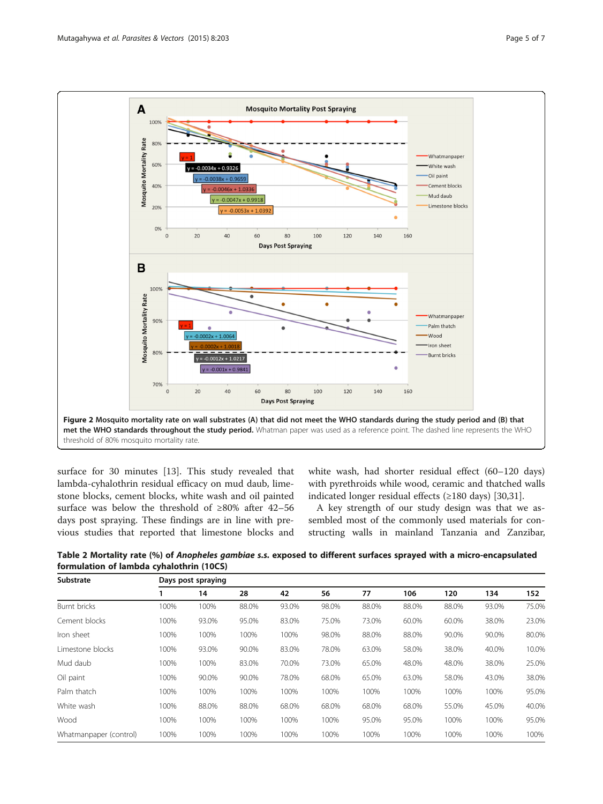<span id="page-4-0"></span>

surface for 30 minutes [\[13](#page-6-0)]. This study revealed that lambda-cyhalothrin residual efficacy on mud daub, limestone blocks, cement blocks, white wash and oil painted surface was below the threshold of ≥80% after 42–56 days post spraying. These findings are in line with previous studies that reported that limestone blocks and white wash, had shorter residual effect (60–120 days) with pyrethroids while wood, ceramic and thatched walls indicated longer residual effects (≥180 days) [\[30,31\]](#page-6-0).

A key strength of our study design was that we assembled most of the commonly used materials for constructing walls in mainland Tanzania and Zanzibar,

Table 2 Mortality rate (%) of Anopheles gambiae s.s. exposed to different surfaces sprayed with a micro-encapsulated formulation of lambda cyhalothrin (10CS)

| <b>Substrate</b>       | Days post spraying |       |       |       |       |       |       |       |       |       |
|------------------------|--------------------|-------|-------|-------|-------|-------|-------|-------|-------|-------|
|                        |                    | 14    | 28    | 42    | 56    | 77    | 106   | 120   | 134   | 152   |
| <b>Burnt bricks</b>    | 100%               | 100%  | 88.0% | 93.0% | 98.0% | 88.0% | 88.0% | 88.0% | 93.0% | 75.0% |
| Cement blocks          | 100%               | 93.0% | 95.0% | 83.0% | 75.0% | 73.0% | 60.0% | 60.0% | 38.0% | 23.0% |
| Iron sheet             | 100%               | 100%  | 100%  | 100%  | 98.0% | 88.0% | 88.0% | 90.0% | 90.0% | 80.0% |
| Limestone blocks       | 100%               | 93.0% | 90.0% | 83.0% | 78.0% | 63.0% | 58.0% | 38.0% | 40.0% | 10.0% |
| Mud daub               | 100%               | 100%  | 83.0% | 70.0% | 73.0% | 65.0% | 48.0% | 48.0% | 38.0% | 25.0% |
| Oil paint              | 100%               | 90.0% | 90.0% | 78.0% | 68.0% | 65.0% | 63.0% | 58.0% | 43.0% | 38.0% |
| Palm thatch            | 100%               | 100%  | 100%  | 100%  | 100%  | 100%  | 100%  | 100%  | 100%  | 95.0% |
| White wash             | 100%               | 88.0% | 88.0% | 68.0% | 68.0% | 68.0% | 68.0% | 55.0% | 45.0% | 40.0% |
| Wood                   | 100%               | 100%  | 100%  | 100%  | 100%  | 95.0% | 95.0% | 100%  | 100%  | 95.0% |
| Whatmanpaper (control) | 100%               | 100%  | 100%  | 100%  | 100%  | 100%  | 100%  | 100%  | 100%  | 100%  |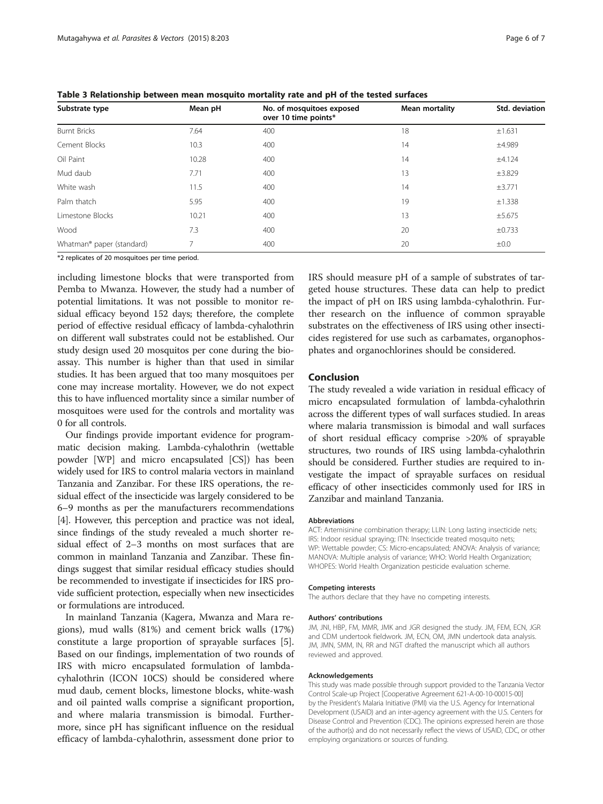| Substrate type                        | Mean pH        | No. of mosquitoes exposed<br>over 10 time points* | Mean mortality | Std. deviation |  |
|---------------------------------------|----------------|---------------------------------------------------|----------------|----------------|--|
| <b>Burnt Bricks</b>                   | 7.64           | 400                                               | 18             | ±1.631         |  |
| Cement Blocks                         | 10.3           | 400                                               | 14             | ±4.989         |  |
| Oil Paint                             | 10.28          | 400                                               | 14             | ±4.124         |  |
| Mud daub                              | 7.71           | 400                                               | 13             | ±3.829         |  |
| White wash                            | 11.5           | 400                                               | 14             | ±3.771         |  |
| Palm thatch                           | 5.95           | 400                                               | 19             | ±1.338         |  |
| Limestone Blocks                      | 10.21          | 400                                               | 13             | ±5.675         |  |
| Wood                                  | 7.3            | 400                                               | 20             | ±0.733         |  |
| Whatman <sup>®</sup> paper (standard) | $\overline{7}$ | 400                                               | 20             | ±0.0           |  |

<span id="page-5-0"></span>Table 3 Relationship between mean mosquito mortality rate and pH of the tested surfaces

\*2 replicates of 20 mosquitoes per time period.

including limestone blocks that were transported from Pemba to Mwanza. However, the study had a number of potential limitations. It was not possible to monitor residual efficacy beyond 152 days; therefore, the complete period of effective residual efficacy of lambda-cyhalothrin on different wall substrates could not be established. Our study design used 20 mosquitos per cone during the bioassay. This number is higher than that used in similar studies. It has been argued that too many mosquitoes per cone may increase mortality. However, we do not expect this to have influenced mortality since a similar number of mosquitoes were used for the controls and mortality was 0 for all controls.

Our findings provide important evidence for programmatic decision making. Lambda-cyhalothrin (wettable powder [WP] and micro encapsulated [CS]) has been widely used for IRS to control malaria vectors in mainland Tanzania and Zanzibar. For these IRS operations, the residual effect of the insecticide was largely considered to be 6–9 months as per the manufacturers recommendations [[4\]](#page-6-0). However, this perception and practice was not ideal, since findings of the study revealed a much shorter residual effect of 2–3 months on most surfaces that are common in mainland Tanzania and Zanzibar. These findings suggest that similar residual efficacy studies should be recommended to investigate if insecticides for IRS provide sufficient protection, especially when new insecticides or formulations are introduced.

In mainland Tanzania (Kagera, Mwanza and Mara regions), mud walls (81%) and cement brick walls (17%) constitute a large proportion of sprayable surfaces [\[5](#page-6-0)]. Based on our findings, implementation of two rounds of IRS with micro encapsulated formulation of lambdacyhalothrin (ICON 10CS) should be considered where mud daub, cement blocks, limestone blocks, white-wash and oil painted walls comprise a significant proportion, and where malaria transmission is bimodal. Furthermore, since pH has significant influence on the residual efficacy of lambda-cyhalothrin, assessment done prior to

IRS should measure pH of a sample of substrates of targeted house structures. These data can help to predict the impact of pH on IRS using lambda-cyhalothrin. Further research on the influence of common sprayable substrates on the effectiveness of IRS using other insecticides registered for use such as carbamates, organophosphates and organochlorines should be considered.

#### Conclusion

The study revealed a wide variation in residual efficacy of micro encapsulated formulation of lambda-cyhalothrin across the different types of wall surfaces studied. In areas where malaria transmission is bimodal and wall surfaces of short residual efficacy comprise >20% of sprayable structures, two rounds of IRS using lambda-cyhalothrin should be considered. Further studies are required to investigate the impact of sprayable surfaces on residual efficacy of other insecticides commonly used for IRS in Zanzibar and mainland Tanzania.

#### Abbreviations

ACT: Artemisinine combination therapy; LLIN: Long lasting insecticide nets; IRS: Indoor residual spraying; ITN: Insecticide treated mosquito nets; WP: Wettable powder; CS: Micro-encapsulated; ANOVA: Analysis of variance; MANOVA: Multiple analysis of variance; WHO: World Health Organization; WHOPES: World Health Organization pesticide evaluation scheme.

#### Competing interests

The authors declare that they have no competing interests.

#### Authors' contributions

JM, JNI, HBP, FM, MMR, JMK and JGR designed the study. JM, FEM, ECN, JGR and CDM undertook fieldwork. JM, ECN, OM, JMN undertook data analysis. JM, JMN, SMM, IN, RR and NGT drafted the manuscript which all authors reviewed and approved.

#### Acknowledgements

This study was made possible through support provided to the Tanzania Vector Control Scale-up Project [Cooperative Agreement 621-A-00-10-00015-00] by the President's Malaria Initiative (PMI) via the U.S. Agency for International Development (USAID) and an inter-agency agreement with the U.S. Centers for Disease Control and Prevention (CDC). The opinions expressed herein are those of the author(s) and do not necessarily reflect the views of USAID, CDC, or other employing organizations or sources of funding.